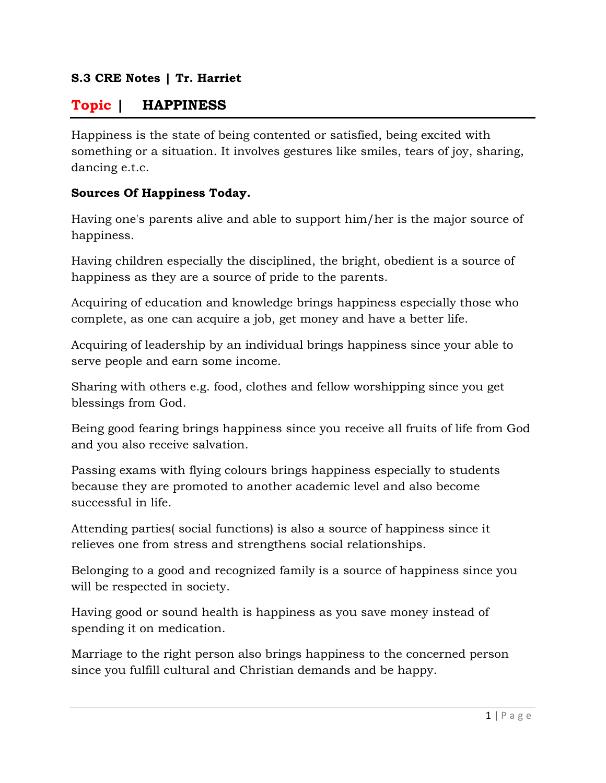### **S.3 CRE Notes | Tr. Harriet**

# **Topic | HAPPINESS**

Happiness is the state of being contented or satisfied, being excited with something or a situation. It involves gestures like smiles, tears of joy, sharing, dancing e.t.c.

#### **Sources Of Happiness Today.**

Having one's parents alive and able to support him/her is the major source of happiness.

Having children especially the disciplined, the bright, obedient is a source of happiness as they are a source of pride to the parents.

Acquiring of education and knowledge brings happiness especially those who complete, as one can acquire a job, get money and have a better life.

Acquiring of leadership by an individual brings happiness since your able to serve people and earn some income.

Sharing with others e.g. food, clothes and fellow worshipping since you get blessings from God.

Being good fearing brings happiness since you receive all fruits of life from God and you also receive salvation.

Passing exams with flying colours brings happiness especially to students because they are promoted to another academic level and also become successful in life.

Attending parties( social functions) is also a source of happiness since it relieves one from stress and strengthens social relationships.

Belonging to a good and recognized family is a source of happiness since you will be respected in society.

Having good or sound health is happiness as you save money instead of spending it on medication.

Marriage to the right person also brings happiness to the concerned person since you fulfill cultural and Christian demands and be happy.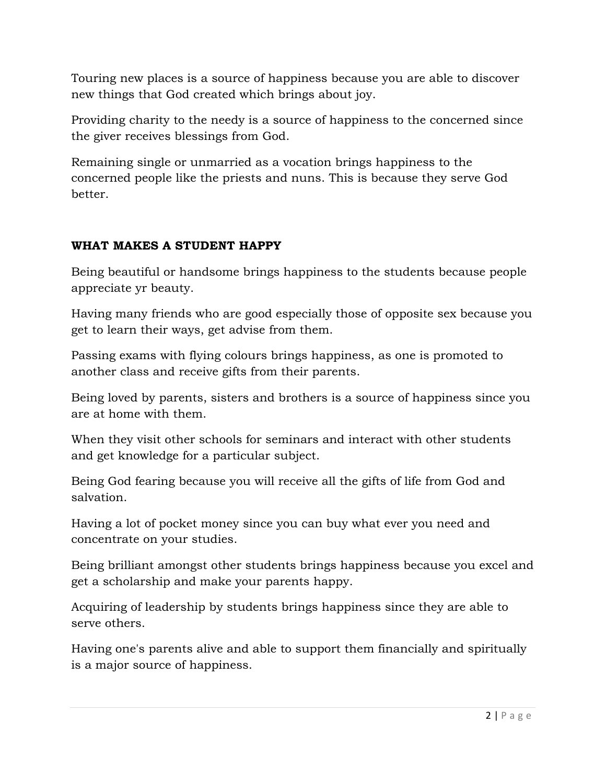Touring new places is a source of happiness because you are able to discover new things that God created which brings about joy.

Providing charity to the needy is a source of happiness to the concerned since the giver receives blessings from God.

Remaining single or unmarried as a vocation brings happiness to the concerned people like the priests and nuns. This is because they serve God better.

# **WHAT MAKES A STUDENT HAPPY**

Being beautiful or handsome brings happiness to the students because people appreciate yr beauty.

Having many friends who are good especially those of opposite sex because you get to learn their ways, get advise from them.

Passing exams with flying colours brings happiness, as one is promoted to another class and receive gifts from their parents.

Being loved by parents, sisters and brothers is a source of happiness since you are at home with them.

When they visit other schools for seminars and interact with other students and get knowledge for a particular subject.

Being God fearing because you will receive all the gifts of life from God and salvation.

Having a lot of pocket money since you can buy what ever you need and concentrate on your studies.

Being brilliant amongst other students brings happiness because you excel and get a scholarship and make your parents happy.

Acquiring of leadership by students brings happiness since they are able to serve others.

Having one's parents alive and able to support them financially and spiritually is a major source of happiness.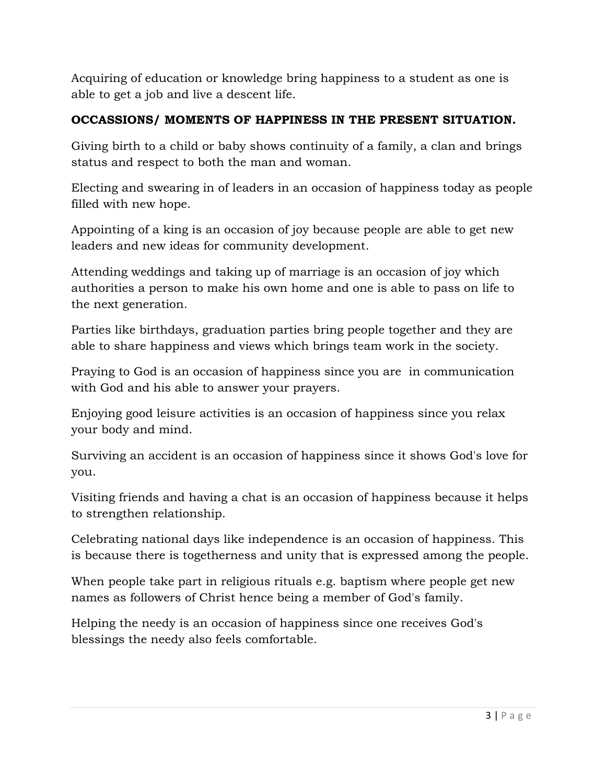Acquiring of education or knowledge bring happiness to a student as one is able to get a job and live a descent life.

### **OCCASSIONS/ MOMENTS OF HAPPINESS IN THE PRESENT SITUATION.**

Giving birth to a child or baby shows continuity of a family, a clan and brings status and respect to both the man and woman.

Electing and swearing in of leaders in an occasion of happiness today as people filled with new hope.

Appointing of a king is an occasion of joy because people are able to get new leaders and new ideas for community development.

Attending weddings and taking up of marriage is an occasion of joy which authorities a person to make his own home and one is able to pass on life to the next generation.

Parties like birthdays, graduation parties bring people together and they are able to share happiness and views which brings team work in the society.

Praying to God is an occasion of happiness since you are in communication with God and his able to answer your prayers.

Enjoying good leisure activities is an occasion of happiness since you relax your body and mind.

Surviving an accident is an occasion of happiness since it shows God's love for you.

Visiting friends and having a chat is an occasion of happiness because it helps to strengthen relationship.

Celebrating national days like independence is an occasion of happiness. This is because there is togetherness and unity that is expressed among the people.

When people take part in religious rituals e.g. baptism where people get new names as followers of Christ hence being a member of God's family.

Helping the needy is an occasion of happiness since one receives God's blessings the needy also feels comfortable.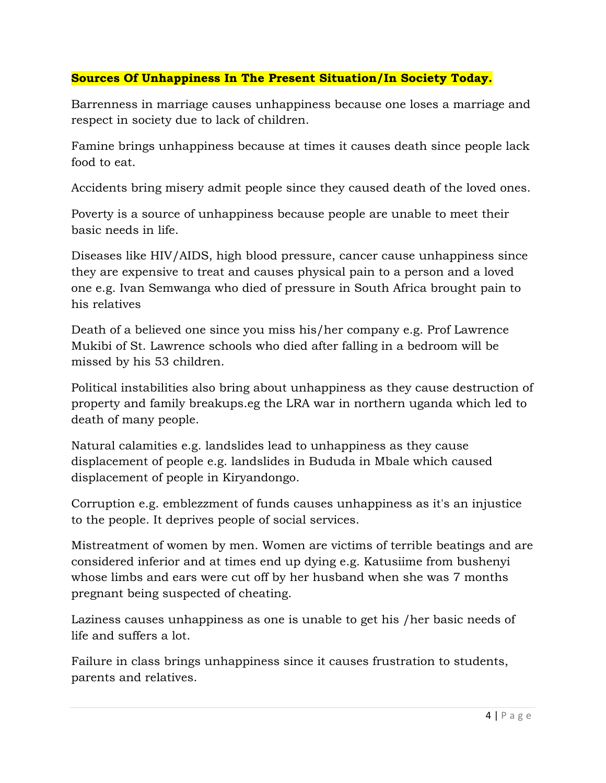### **Sources Of Unhappiness In The Present Situation/In Society Today.**

Barrenness in marriage causes unhappiness because one loses a marriage and respect in society due to lack of children.

Famine brings unhappiness because at times it causes death since people lack food to eat.

Accidents bring misery admit people since they caused death of the loved ones.

Poverty is a source of unhappiness because people are unable to meet their basic needs in life.

Diseases like HIV/AIDS, high blood pressure, cancer cause unhappiness since they are expensive to treat and causes physical pain to a person and a loved one e.g. Ivan Semwanga who died of pressure in South Africa brought pain to his relatives

Death of a believed one since you miss his/her company e.g. Prof Lawrence Mukibi of St. Lawrence schools who died after falling in a bedroom will be missed by his 53 children.

Political instabilities also bring about unhappiness as they cause destruction of property and family breakups.eg the LRA war in northern uganda which led to death of many people.

Natural calamities e.g. landslides lead to unhappiness as they cause displacement of people e.g. landslides in Bududa in Mbale which caused displacement of people in Kiryandongo.

Corruption e.g. emblezzment of funds causes unhappiness as it's an injustice to the people. It deprives people of social services.

Mistreatment of women by men. Women are victims of terrible beatings and are considered inferior and at times end up dying e.g. Katusiime from bushenyi whose limbs and ears were cut off by her husband when she was 7 months pregnant being suspected of cheating.

Laziness causes unhappiness as one is unable to get his /her basic needs of life and suffers a lot.

Failure in class brings unhappiness since it causes frustration to students, parents and relatives.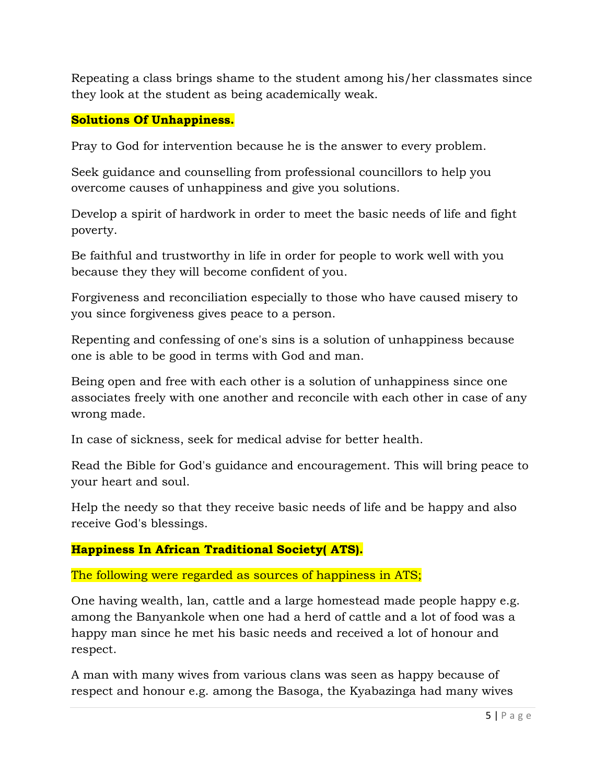Repeating a class brings shame to the student among his/her classmates since they look at the student as being academically weak.

### **Solutions Of Unhappiness.**

Pray to God for intervention because he is the answer to every problem.

Seek guidance and counselling from professional councillors to help you overcome causes of unhappiness and give you solutions.

Develop a spirit of hardwork in order to meet the basic needs of life and fight poverty.

Be faithful and trustworthy in life in order for people to work well with you because they they will become confident of you.

Forgiveness and reconciliation especially to those who have caused misery to you since forgiveness gives peace to a person.

Repenting and confessing of one's sins is a solution of unhappiness because one is able to be good in terms with God and man.

Being open and free with each other is a solution of unhappiness since one associates freely with one another and reconcile with each other in case of any wrong made.

In case of sickness, seek for medical advise for better health.

Read the Bible for God's guidance and encouragement. This will bring peace to your heart and soul.

Help the needy so that they receive basic needs of life and be happy and also receive God's blessings.

### **Happiness In African Traditional Society( ATS).**

#### The following were regarded as sources of happiness in ATS;

One having wealth, lan, cattle and a large homestead made people happy e.g. among the Banyankole when one had a herd of cattle and a lot of food was a happy man since he met his basic needs and received a lot of honour and respect.

A man with many wives from various clans was seen as happy because of respect and honour e.g. among the Basoga, the Kyabazinga had many wives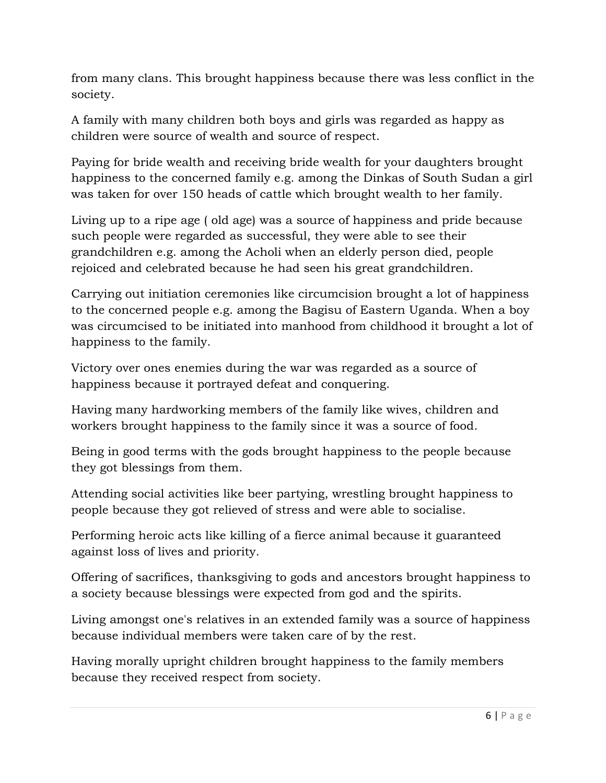from many clans. This brought happiness because there was less conflict in the society.

A family with many children both boys and girls was regarded as happy as children were source of wealth and source of respect.

Paying for bride wealth and receiving bride wealth for your daughters brought happiness to the concerned family e.g. among the Dinkas of South Sudan a girl was taken for over 150 heads of cattle which brought wealth to her family.

Living up to a ripe age ( old age) was a source of happiness and pride because such people were regarded as successful, they were able to see their grandchildren e.g. among the Acholi when an elderly person died, people rejoiced and celebrated because he had seen his great grandchildren.

Carrying out initiation ceremonies like circumcision brought a lot of happiness to the concerned people e.g. among the Bagisu of Eastern Uganda. When a boy was circumcised to be initiated into manhood from childhood it brought a lot of happiness to the family.

Victory over ones enemies during the war was regarded as a source of happiness because it portrayed defeat and conquering.

Having many hardworking members of the family like wives, children and workers brought happiness to the family since it was a source of food.

Being in good terms with the gods brought happiness to the people because they got blessings from them.

Attending social activities like beer partying, wrestling brought happiness to people because they got relieved of stress and were able to socialise.

Performing heroic acts like killing of a fierce animal because it guaranteed against loss of lives and priority.

Offering of sacrifices, thanksgiving to gods and ancestors brought happiness to a society because blessings were expected from god and the spirits.

Living amongst one's relatives in an extended family was a source of happiness because individual members were taken care of by the rest.

Having morally upright children brought happiness to the family members because they received respect from society.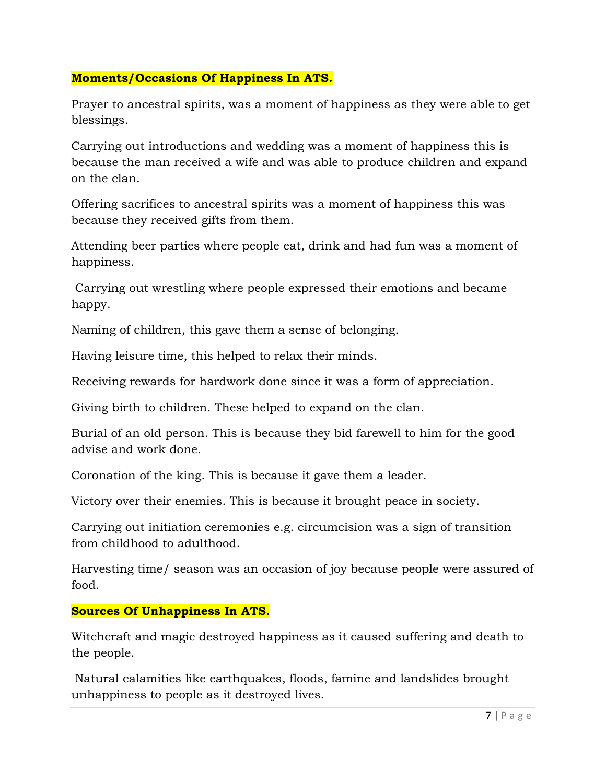### **Moments/Occasions Of Happiness In ATS.**

Prayer to ancestral spirits, was a moment of happiness as they were able to get blessings.

Carrying out introductions and wedding was a moment of happiness this is because the man received a wife and was able to produce children and expand on the clan.

Offering sacrifices to ancestral spirits was a moment of happiness this was because they received gifts from them.

Attending beer parties where people eat, drink and had fun was a moment of happiness.

 Carrying out wrestling where people expressed their emotions and became happy.

Naming of children, this gave them a sense of belonging.

Having leisure time, this helped to relax their minds.

Receiving rewards for hardwork done since it was a form of appreciation.

Giving birth to children. These helped to expand on the clan.

Burial of an old person. This is because they bid farewell to him for the good advise and work done.

Coronation of the king. This is because it gave them a leader.

Victory over their enemies. This is because it brought peace in society.

Carrying out initiation ceremonies e.g. circumcision was a sign of transition from childhood to adulthood.

Harvesting time/ season was an occasion of joy because people were assured of food.

### **Sources Of Unhappiness In ATS.**

Witchcraft and magic destroyed happiness as it caused suffering and death to the people.

 Natural calamities like earthquakes, floods, famine and landslides brought unhappiness to people as it destroyed lives.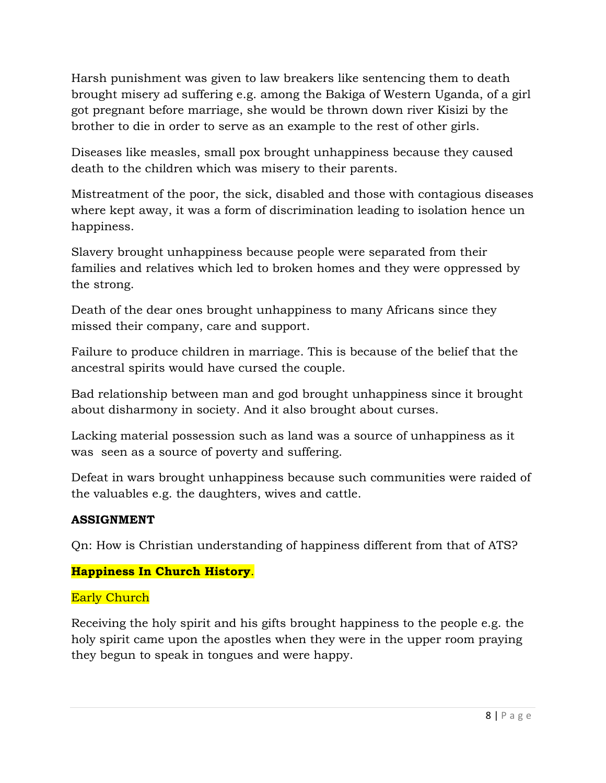Harsh punishment was given to law breakers like sentencing them to death brought misery ad suffering e.g. among the Bakiga of Western Uganda, of a girl got pregnant before marriage, she would be thrown down river Kisizi by the brother to die in order to serve as an example to the rest of other girls.

Diseases like measles, small pox brought unhappiness because they caused death to the children which was misery to their parents.

Mistreatment of the poor, the sick, disabled and those with contagious diseases where kept away, it was a form of discrimination leading to isolation hence un happiness.

Slavery brought unhappiness because people were separated from their families and relatives which led to broken homes and they were oppressed by the strong.

Death of the dear ones brought unhappiness to many Africans since they missed their company, care and support.

Failure to produce children in marriage. This is because of the belief that the ancestral spirits would have cursed the couple.

Bad relationship between man and god brought unhappiness since it brought about disharmony in society. And it also brought about curses.

Lacking material possession such as land was a source of unhappiness as it was seen as a source of poverty and suffering.

Defeat in wars brought unhappiness because such communities were raided of the valuables e.g. the daughters, wives and cattle.

# **ASSIGNMENT**

Qn: How is Christian understanding of happiness different from that of ATS?

# **Happiness In Church History**.

# Early Church

Receiving the holy spirit and his gifts brought happiness to the people e.g. the holy spirit came upon the apostles when they were in the upper room praying they begun to speak in tongues and were happy.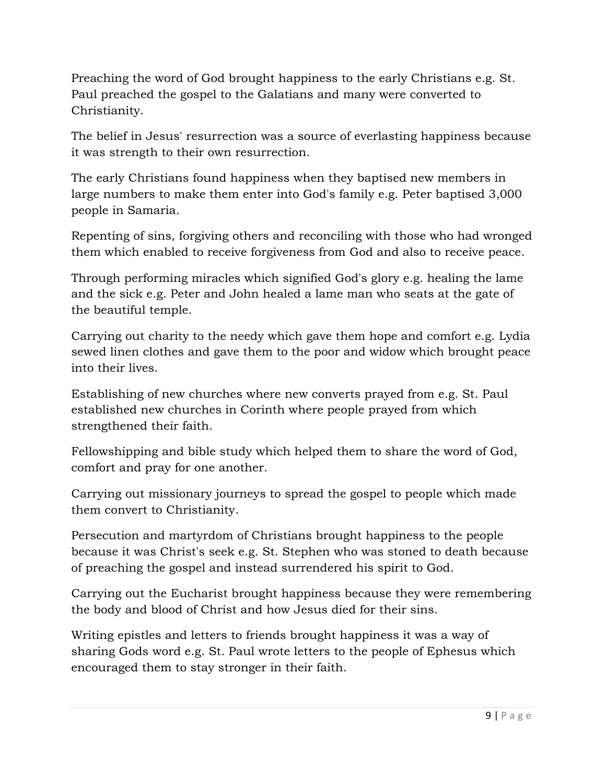Preaching the word of God brought happiness to the early Christians e.g. St. Paul preached the gospel to the Galatians and many were converted to Christianity.

The belief in Jesus' resurrection was a source of everlasting happiness because it was strength to their own resurrection.

The early Christians found happiness when they baptised new members in large numbers to make them enter into God's family e.g. Peter baptised 3,000 people in Samaria.

Repenting of sins, forgiving others and reconciling with those who had wronged them which enabled to receive forgiveness from God and also to receive peace.

Through performing miracles which signified God's glory e.g. healing the lame and the sick e.g. Peter and John healed a lame man who seats at the gate of the beautiful temple.

Carrying out charity to the needy which gave them hope and comfort e.g. Lydia sewed linen clothes and gave them to the poor and widow which brought peace into their lives.

Establishing of new churches where new converts prayed from e.g. St. Paul established new churches in Corinth where people prayed from which strengthened their faith.

Fellowshipping and bible study which helped them to share the word of God, comfort and pray for one another.

Carrying out missionary journeys to spread the gospel to people which made them convert to Christianity.

Persecution and martyrdom of Christians brought happiness to the people because it was Christ's seek e.g. St. Stephen who was stoned to death because of preaching the gospel and instead surrendered his spirit to God.

Carrying out the Eucharist brought happiness because they were remembering the body and blood of Christ and how Jesus died for their sins.

Writing epistles and letters to friends brought happiness it was a way of sharing Gods word e.g. St. Paul wrote letters to the people of Ephesus which encouraged them to stay stronger in their faith.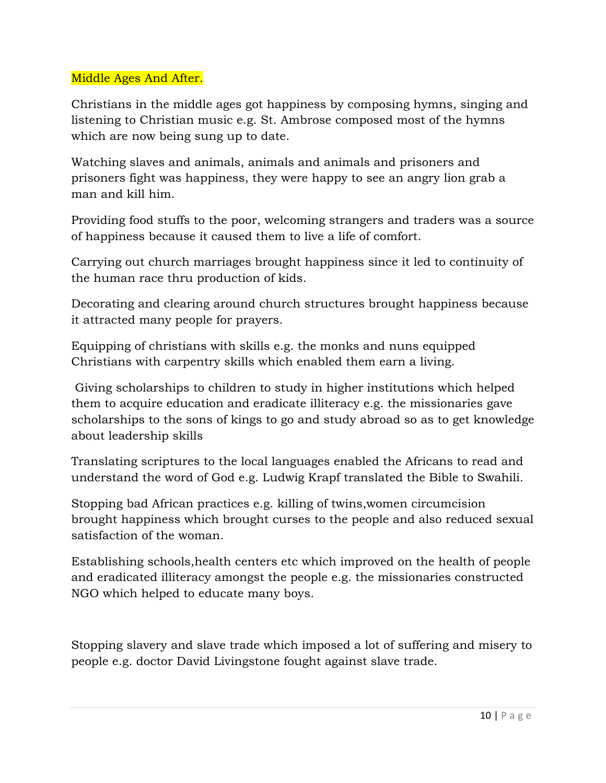### Middle Ages And After.

Christians in the middle ages got happiness by composing hymns, singing and listening to Christian music e.g. St. Ambrose composed most of the hymns which are now being sung up to date.

Watching slaves and animals, animals and animals and prisoners and prisoners fight was happiness, they were happy to see an angry lion grab a man and kill him.

Providing food stuffs to the poor, welcoming strangers and traders was a source of happiness because it caused them to live a life of comfort.

Carrying out church marriages brought happiness since it led to continuity of the human race thru production of kids.

Decorating and clearing around church structures brought happiness because it attracted many people for prayers.

Equipping of christians with skills e.g. the monks and nuns equipped Christians with carpentry skills which enabled them earn a living.

 Giving scholarships to children to study in higher institutions which helped them to acquire education and eradicate illiteracy e.g. the missionaries gave scholarships to the sons of kings to go and study abroad so as to get knowledge about leadership skills

Translating scriptures to the local languages enabled the Africans to read and understand the word of God e.g. Ludwig Krapf translated the Bible to Swahili.

Stopping bad African practices e.g. killing of twins,women circumcision brought happiness which brought curses to the people and also reduced sexual satisfaction of the woman.

Establishing schools,health centers etc which improved on the health of people and eradicated illiteracy amongst the people e.g. the missionaries constructed NGO which helped to educate many boys.

Stopping slavery and slave trade which imposed a lot of suffering and misery to people e.g. doctor David Livingstone fought against slave trade.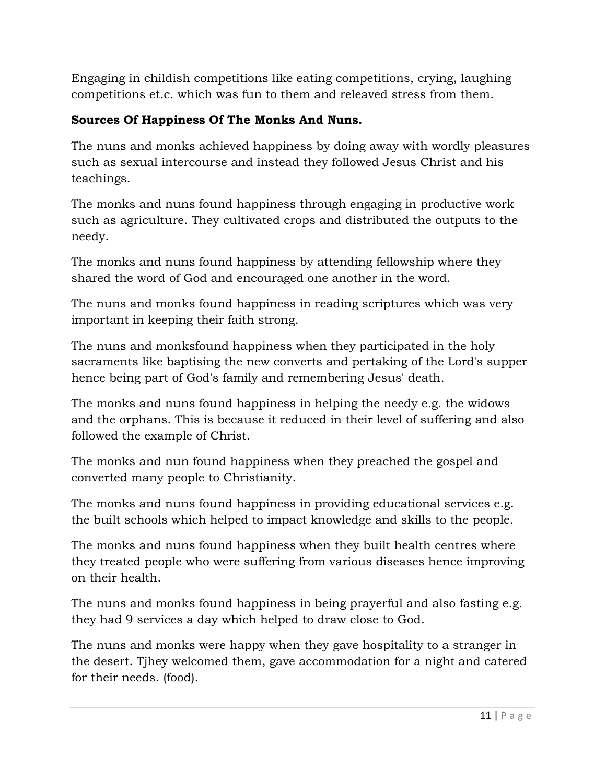Engaging in childish competitions like eating competitions, crying, laughing competitions et.c. which was fun to them and releaved stress from them.

# **Sources Of Happiness Of The Monks And Nuns.**

The nuns and monks achieved happiness by doing away with wordly pleasures such as sexual intercourse and instead they followed Jesus Christ and his teachings.

The monks and nuns found happiness through engaging in productive work such as agriculture. They cultivated crops and distributed the outputs to the needy.

The monks and nuns found happiness by attending fellowship where they shared the word of God and encouraged one another in the word.

The nuns and monks found happiness in reading scriptures which was very important in keeping their faith strong.

The nuns and monksfound happiness when they participated in the holy sacraments like baptising the new converts and pertaking of the Lord's supper hence being part of God's family and remembering Jesus' death.

The monks and nuns found happiness in helping the needy e.g. the widows and the orphans. This is because it reduced in their level of suffering and also followed the example of Christ.

The monks and nun found happiness when they preached the gospel and converted many people to Christianity.

The monks and nuns found happiness in providing educational services e.g. the built schools which helped to impact knowledge and skills to the people.

The monks and nuns found happiness when they built health centres where they treated people who were suffering from various diseases hence improving on their health.

The nuns and monks found happiness in being prayerful and also fasting e.g. they had 9 services a day which helped to draw close to God.

The nuns and monks were happy when they gave hospitality to a stranger in the desert. Tjhey welcomed them, gave accommodation for a night and catered for their needs. (food).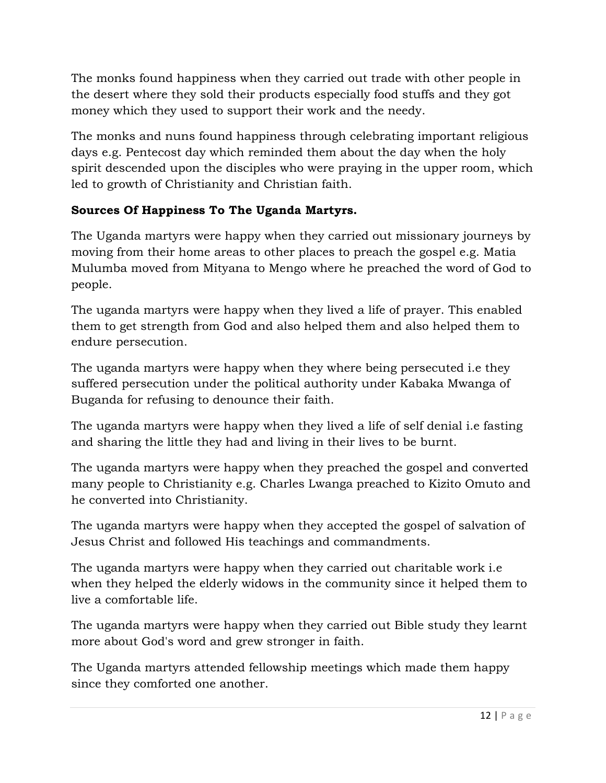The monks found happiness when they carried out trade with other people in the desert where they sold their products especially food stuffs and they got money which they used to support their work and the needy.

The monks and nuns found happiness through celebrating important religious days e.g. Pentecost day which reminded them about the day when the holy spirit descended upon the disciples who were praying in the upper room, which led to growth of Christianity and Christian faith.

# **Sources Of Happiness To The Uganda Martyrs.**

The Uganda martyrs were happy when they carried out missionary journeys by moving from their home areas to other places to preach the gospel e.g. Matia Mulumba moved from Mityana to Mengo where he preached the word of God to people.

The uganda martyrs were happy when they lived a life of prayer. This enabled them to get strength from God and also helped them and also helped them to endure persecution.

The uganda martyrs were happy when they where being persecuted i.e they suffered persecution under the political authority under Kabaka Mwanga of Buganda for refusing to denounce their faith.

The uganda martyrs were happy when they lived a life of self denial i.e fasting and sharing the little they had and living in their lives to be burnt.

The uganda martyrs were happy when they preached the gospel and converted many people to Christianity e.g. Charles Lwanga preached to Kizito Omuto and he converted into Christianity.

The uganda martyrs were happy when they accepted the gospel of salvation of Jesus Christ and followed His teachings and commandments.

The uganda martyrs were happy when they carried out charitable work i.e when they helped the elderly widows in the community since it helped them to live a comfortable life.

The uganda martyrs were happy when they carried out Bible study they learnt more about God's word and grew stronger in faith.

The Uganda martyrs attended fellowship meetings which made them happy since they comforted one another.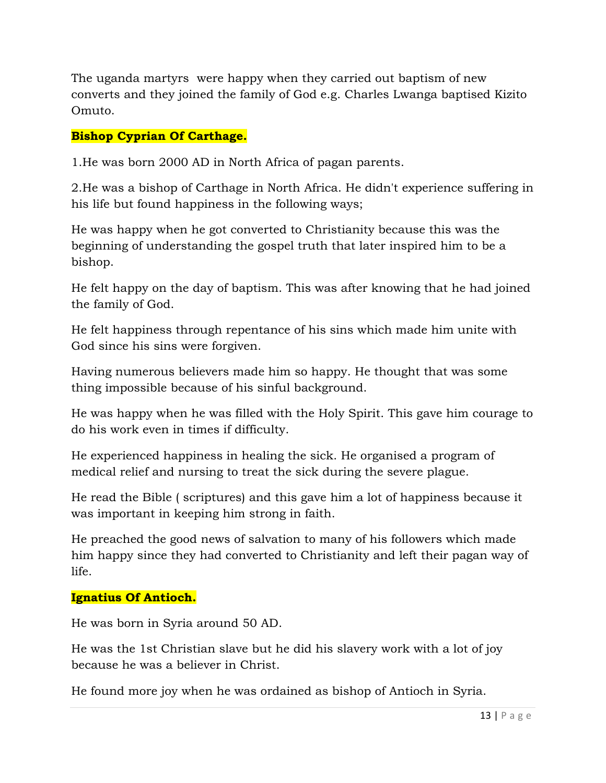The uganda martyrs were happy when they carried out baptism of new converts and they joined the family of God e.g. Charles Lwanga baptised Kizito Omuto.

### **Bishop Cyprian Of Carthage.**

1.He was born 2000 AD in North Africa of pagan parents.

2.He was a bishop of Carthage in North Africa. He didn't experience suffering in his life but found happiness in the following ways;

He was happy when he got converted to Christianity because this was the beginning of understanding the gospel truth that later inspired him to be a bishop.

He felt happy on the day of baptism. This was after knowing that he had joined the family of God.

He felt happiness through repentance of his sins which made him unite with God since his sins were forgiven.

Having numerous believers made him so happy. He thought that was some thing impossible because of his sinful background.

He was happy when he was filled with the Holy Spirit. This gave him courage to do his work even in times if difficulty.

He experienced happiness in healing the sick. He organised a program of medical relief and nursing to treat the sick during the severe plague.

He read the Bible ( scriptures) and this gave him a lot of happiness because it was important in keeping him strong in faith.

He preached the good news of salvation to many of his followers which made him happy since they had converted to Christianity and left their pagan way of life.

### **Ignatius Of Antioch.**

He was born in Syria around 50 AD.

He was the 1st Christian slave but he did his slavery work with a lot of joy because he was a believer in Christ.

He found more joy when he was ordained as bishop of Antioch in Syria.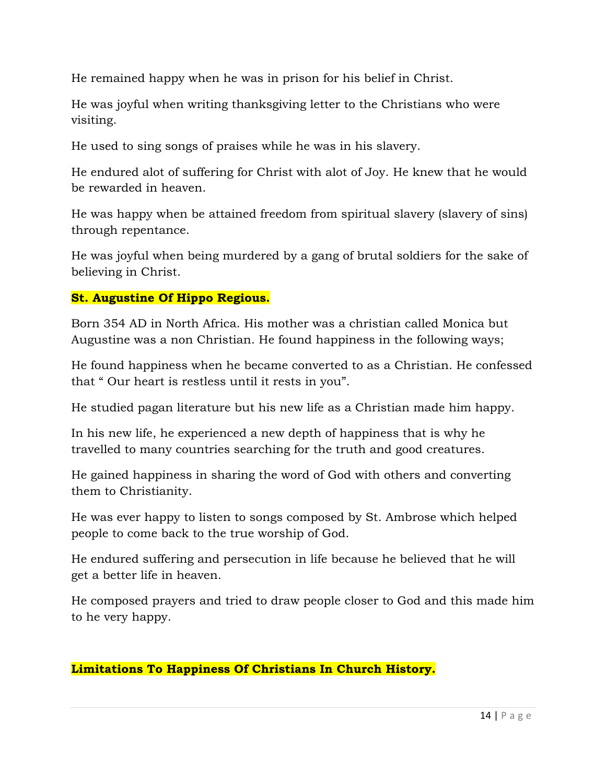He remained happy when he was in prison for his belief in Christ.

He was joyful when writing thanksgiving letter to the Christians who were visiting.

He used to sing songs of praises while he was in his slavery.

He endured alot of suffering for Christ with alot of Joy. He knew that he would be rewarded in heaven.

He was happy when be attained freedom from spiritual slavery (slavery of sins) through repentance.

He was joyful when being murdered by a gang of brutal soldiers for the sake of believing in Christ.

### **St. Augustine Of Hippo Regious.**

Born 354 AD in North Africa. His mother was a christian called Monica but Augustine was a non Christian. He found happiness in the following ways;

He found happiness when he became converted to as a Christian. He confessed that " Our heart is restless until it rests in you".

He studied pagan literature but his new life as a Christian made him happy.

In his new life, he experienced a new depth of happiness that is why he travelled to many countries searching for the truth and good creatures.

He gained happiness in sharing the word of God with others and converting them to Christianity.

He was ever happy to listen to songs composed by St. Ambrose which helped people to come back to the true worship of God.

He endured suffering and persecution in life because he believed that he will get a better life in heaven.

He composed prayers and tried to draw people closer to God and this made him to he very happy.

### **Limitations To Happiness Of Christians In Church History.**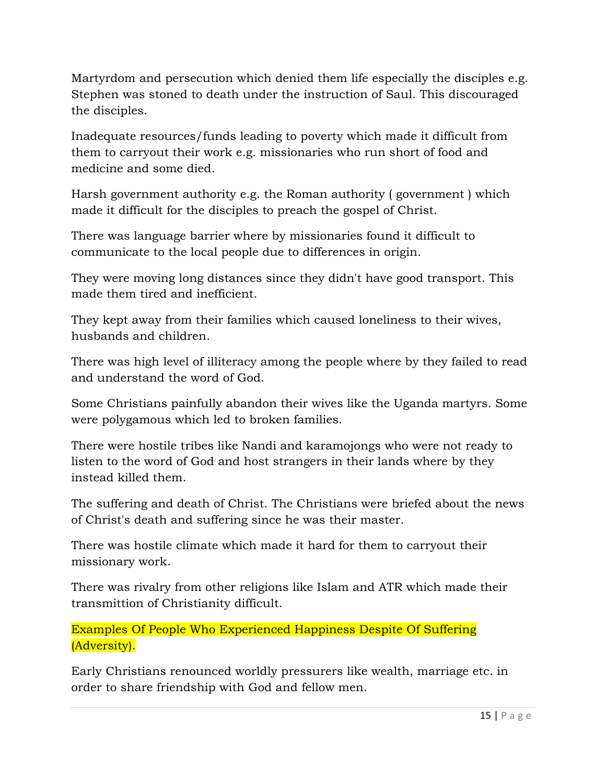Martyrdom and persecution which denied them life especially the disciples e.g. Stephen was stoned to death under the instruction of Saul. This discouraged the disciples.

Inadequate resources/funds leading to poverty which made it difficult from them to carryout their work e.g. missionaries who run short of food and medicine and some died.

Harsh government authority e.g. the Roman authority ( government ) which made it difficult for the disciples to preach the gospel of Christ.

There was language barrier where by missionaries found it difficult to communicate to the local people due to differences in origin.

They were moving long distances since they didn't have good transport. This made them tired and inefficient.

They kept away from their families which caused loneliness to their wives, husbands and children.

There was high level of illiteracy among the people where by they failed to read and understand the word of God.

Some Christians painfully abandon their wives like the Uganda martyrs. Some were polygamous which led to broken families.

There were hostile tribes like Nandi and karamojongs who were not ready to listen to the word of God and host strangers in their lands where by they instead killed them.

The suffering and death of Christ. The Christians were briefed about the news of Christ's death and suffering since he was their master.

There was hostile climate which made it hard for them to carryout their missionary work.

There was rivalry from other religions like Islam and ATR which made their transmittion of Christianity difficult.

Examples Of People Who Experienced Happiness Despite Of Suffering (Adversity).

Early Christians renounced worldly pressurers like wealth, marriage etc. in order to share friendship with God and fellow men.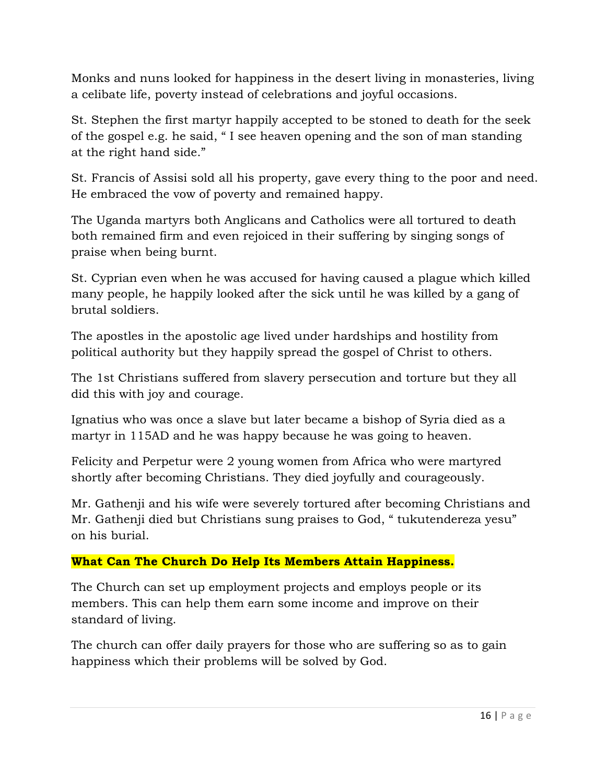Monks and nuns looked for happiness in the desert living in monasteries, living a celibate life, poverty instead of celebrations and joyful occasions.

St. Stephen the first martyr happily accepted to be stoned to death for the seek of the gospel e.g. he said, " I see heaven opening and the son of man standing at the right hand side."

St. Francis of Assisi sold all his property, gave every thing to the poor and need. He embraced the vow of poverty and remained happy.

The Uganda martyrs both Anglicans and Catholics were all tortured to death both remained firm and even rejoiced in their suffering by singing songs of praise when being burnt.

St. Cyprian even when he was accused for having caused a plague which killed many people, he happily looked after the sick until he was killed by a gang of brutal soldiers.

The apostles in the apostolic age lived under hardships and hostility from political authority but they happily spread the gospel of Christ to others.

The 1st Christians suffered from slavery persecution and torture but they all did this with joy and courage.

Ignatius who was once a slave but later became a bishop of Syria died as a martyr in 115AD and he was happy because he was going to heaven.

Felicity and Perpetur were 2 young women from Africa who were martyred shortly after becoming Christians. They died joyfully and courageously.

Mr. Gathenji and his wife were severely tortured after becoming Christians and Mr. Gathenji died but Christians sung praises to God, " tukutendereza yesu" on his burial.

# **What Can The Church Do Help Its Members Attain Happiness.**

The Church can set up employment projects and employs people or its members. This can help them earn some income and improve on their standard of living.

The church can offer daily prayers for those who are suffering so as to gain happiness which their problems will be solved by God.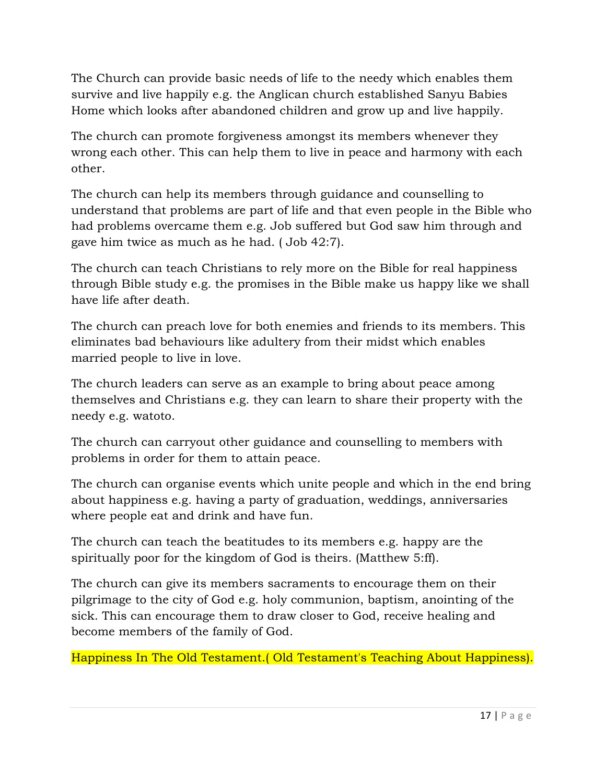The Church can provide basic needs of life to the needy which enables them survive and live happily e.g. the Anglican church established Sanyu Babies Home which looks after abandoned children and grow up and live happily.

The church can promote forgiveness amongst its members whenever they wrong each other. This can help them to live in peace and harmony with each other.

The church can help its members through guidance and counselling to understand that problems are part of life and that even people in the Bible who had problems overcame them e.g. Job suffered but God saw him through and gave him twice as much as he had. ( Job 42:7).

The church can teach Christians to rely more on the Bible for real happiness through Bible study e.g. the promises in the Bible make us happy like we shall have life after death.

The church can preach love for both enemies and friends to its members. This eliminates bad behaviours like adultery from their midst which enables married people to live in love.

The church leaders can serve as an example to bring about peace among themselves and Christians e.g. they can learn to share their property with the needy e.g. watoto.

The church can carryout other guidance and counselling to members with problems in order for them to attain peace.

The church can organise events which unite people and which in the end bring about happiness e.g. having a party of graduation, weddings, anniversaries where people eat and drink and have fun.

The church can teach the beatitudes to its members e.g. happy are the spiritually poor for the kingdom of God is theirs. (Matthew 5:ff).

The church can give its members sacraments to encourage them on their pilgrimage to the city of God e.g. holy communion, baptism, anointing of the sick. This can encourage them to draw closer to God, receive healing and become members of the family of God.

Happiness In The Old Testament.( Old Testament's Teaching About Happiness).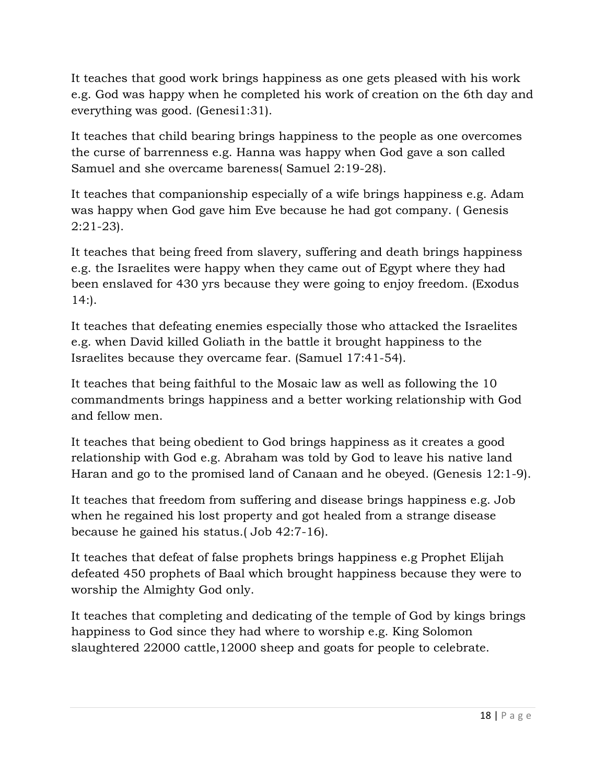It teaches that good work brings happiness as one gets pleased with his work e.g. God was happy when he completed his work of creation on the 6th day and everything was good. (Genesi1:31).

It teaches that child bearing brings happiness to the people as one overcomes the curse of barrenness e.g. Hanna was happy when God gave a son called Samuel and she overcame bareness( Samuel 2:19-28).

It teaches that companionship especially of a wife brings happiness e.g. Adam was happy when God gave him Eve because he had got company. ( Genesis 2:21-23).

It teaches that being freed from slavery, suffering and death brings happiness e.g. the Israelites were happy when they came out of Egypt where they had been enslaved for 430 yrs because they were going to enjoy freedom. (Exodus  $14$ :).

It teaches that defeating enemies especially those who attacked the Israelites e.g. when David killed Goliath in the battle it brought happiness to the Israelites because they overcame fear. (Samuel 17:41-54).

It teaches that being faithful to the Mosaic law as well as following the 10 commandments brings happiness and a better working relationship with God and fellow men.

It teaches that being obedient to God brings happiness as it creates a good relationship with God e.g. Abraham was told by God to leave his native land Haran and go to the promised land of Canaan and he obeyed. (Genesis 12:1-9).

It teaches that freedom from suffering and disease brings happiness e.g. Job when he regained his lost property and got healed from a strange disease because he gained his status.( Job 42:7-16).

It teaches that defeat of false prophets brings happiness e.g Prophet Elijah defeated 450 prophets of Baal which brought happiness because they were to worship the Almighty God only.

It teaches that completing and dedicating of the temple of God by kings brings happiness to God since they had where to worship e.g. King Solomon slaughtered 22000 cattle,12000 sheep and goats for people to celebrate.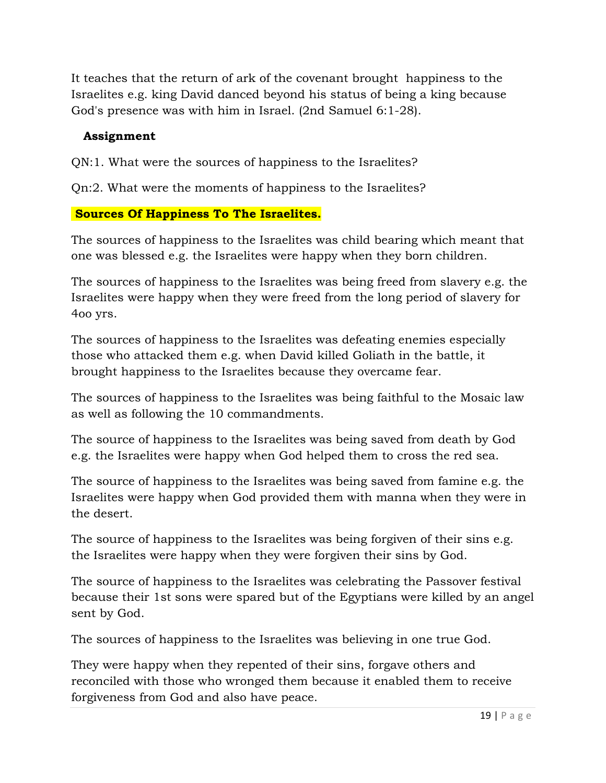It teaches that the return of ark of the covenant brought happiness to the Israelites e.g. king David danced beyond his status of being a king because God's presence was with him in Israel. (2nd Samuel 6:1-28).

### **Assignment**

QN:1. What were the sources of happiness to the Israelites?

Qn:2. What were the moments of happiness to the Israelites?

### **Sources Of Happiness To The Israelites.**

The sources of happiness to the Israelites was child bearing which meant that one was blessed e.g. the Israelites were happy when they born children.

The sources of happiness to the Israelites was being freed from slavery e.g. the Israelites were happy when they were freed from the long period of slavery for 4oo yrs.

The sources of happiness to the Israelites was defeating enemies especially those who attacked them e.g. when David killed Goliath in the battle, it brought happiness to the Israelites because they overcame fear.

The sources of happiness to the Israelites was being faithful to the Mosaic law as well as following the 10 commandments.

The source of happiness to the Israelites was being saved from death by God e.g. the Israelites were happy when God helped them to cross the red sea.

The source of happiness to the Israelites was being saved from famine e.g. the Israelites were happy when God provided them with manna when they were in the desert.

The source of happiness to the Israelites was being forgiven of their sins e.g. the Israelites were happy when they were forgiven their sins by God.

The source of happiness to the Israelites was celebrating the Passover festival because their 1st sons were spared but of the Egyptians were killed by an angel sent by God.

The sources of happiness to the Israelites was believing in one true God.

They were happy when they repented of their sins, forgave others and reconciled with those who wronged them because it enabled them to receive forgiveness from God and also have peace.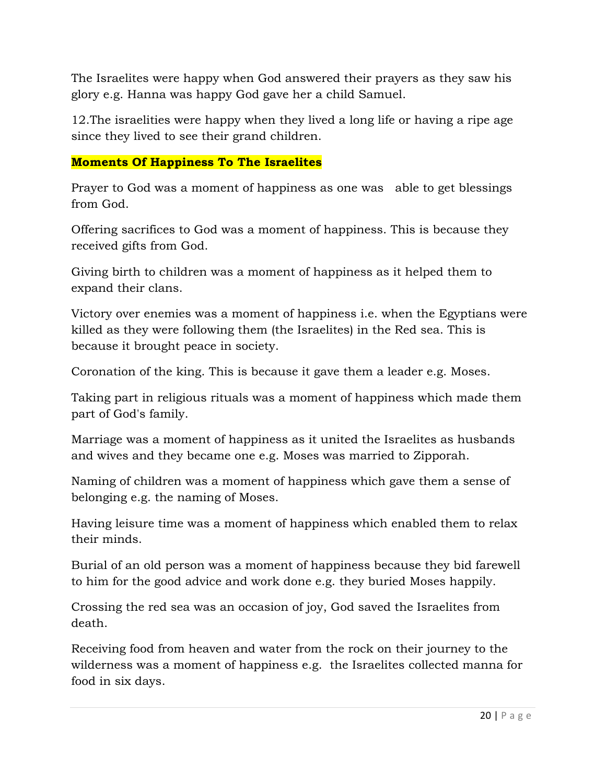The Israelites were happy when God answered their prayers as they saw his glory e.g. Hanna was happy God gave her a child Samuel.

12.The israelities were happy when they lived a long life or having a ripe age since they lived to see their grand children.

### **Moments Of Happiness To The Israelites**

Prayer to God was a moment of happiness as one was able to get blessings from God.

Offering sacrifices to God was a moment of happiness. This is because they received gifts from God.

Giving birth to children was a moment of happiness as it helped them to expand their clans.

Victory over enemies was a moment of happiness i.e. when the Egyptians were killed as they were following them (the Israelites) in the Red sea. This is because it brought peace in society.

Coronation of the king. This is because it gave them a leader e.g. Moses.

Taking part in religious rituals was a moment of happiness which made them part of God's family.

Marriage was a moment of happiness as it united the Israelites as husbands and wives and they became one e.g. Moses was married to Zipporah.

Naming of children was a moment of happiness which gave them a sense of belonging e.g. the naming of Moses.

Having leisure time was a moment of happiness which enabled them to relax their minds.

Burial of an old person was a moment of happiness because they bid farewell to him for the good advice and work done e.g. they buried Moses happily.

Crossing the red sea was an occasion of joy, God saved the Israelites from death.

Receiving food from heaven and water from the rock on their journey to the wilderness was a moment of happiness e.g. the Israelites collected manna for food in six days.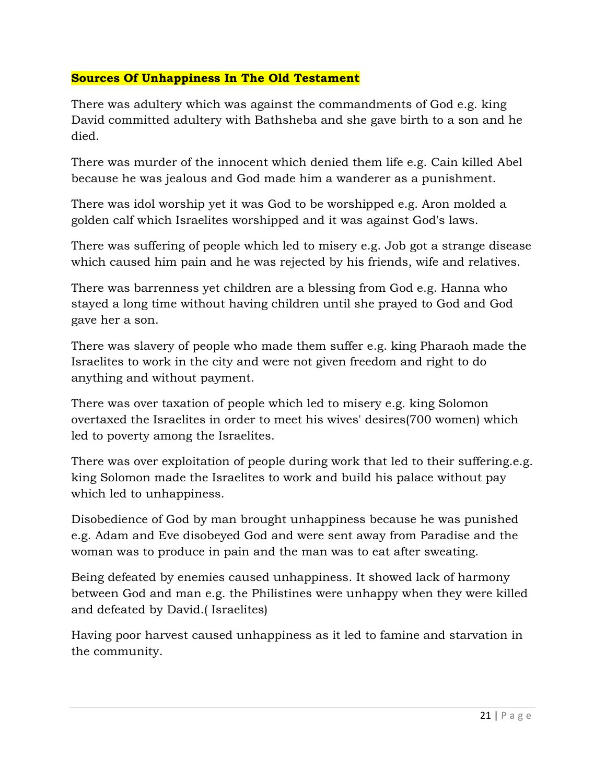#### **Sources Of Unhappiness In The Old Testament**

There was adultery which was against the commandments of God e.g. king David committed adultery with Bathsheba and she gave birth to a son and he died.

There was murder of the innocent which denied them life e.g. Cain killed Abel because he was jealous and God made him a wanderer as a punishment.

There was idol worship yet it was God to be worshipped e.g. Aron molded a golden calf which Israelites worshipped and it was against God's laws.

There was suffering of people which led to misery e.g. Job got a strange disease which caused him pain and he was rejected by his friends, wife and relatives.

There was barrenness yet children are a blessing from God e.g. Hanna who stayed a long time without having children until she prayed to God and God gave her a son.

There was slavery of people who made them suffer e.g. king Pharaoh made the Israelites to work in the city and were not given freedom and right to do anything and without payment.

There was over taxation of people which led to misery e.g. king Solomon overtaxed the Israelites in order to meet his wives' desires(700 women) which led to poverty among the Israelites.

There was over exploitation of people during work that led to their suffering.e.g. king Solomon made the Israelites to work and build his palace without pay which led to unhappiness.

Disobedience of God by man brought unhappiness because he was punished e.g. Adam and Eve disobeyed God and were sent away from Paradise and the woman was to produce in pain and the man was to eat after sweating.

Being defeated by enemies caused unhappiness. It showed lack of harmony between God and man e.g. the Philistines were unhappy when they were killed and defeated by David.( Israelites)

Having poor harvest caused unhappiness as it led to famine and starvation in the community.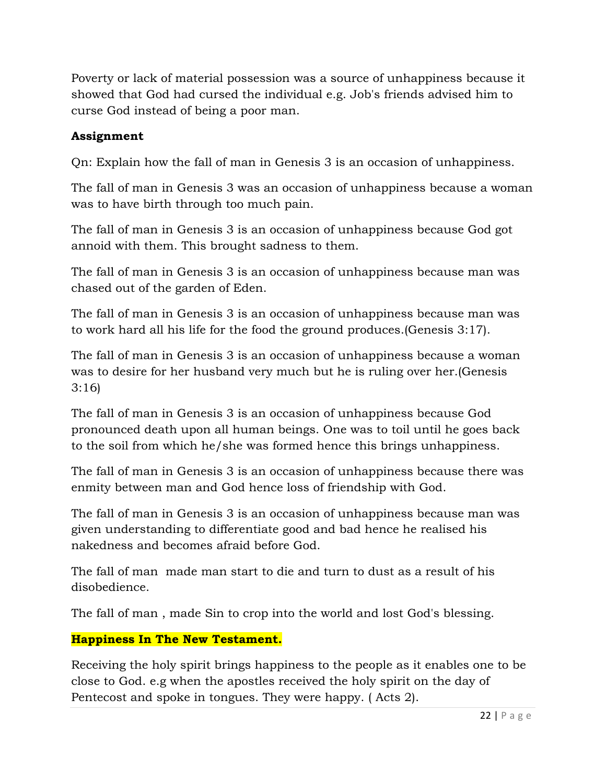Poverty or lack of material possession was a source of unhappiness because it showed that God had cursed the individual e.g. Job's friends advised him to curse God instead of being a poor man.

# **Assignment**

Qn: Explain how the fall of man in Genesis 3 is an occasion of unhappiness.

The fall of man in Genesis 3 was an occasion of unhappiness because a woman was to have birth through too much pain.

The fall of man in Genesis 3 is an occasion of unhappiness because God got annoid with them. This brought sadness to them.

The fall of man in Genesis 3 is an occasion of unhappiness because man was chased out of the garden of Eden.

The fall of man in Genesis 3 is an occasion of unhappiness because man was to work hard all his life for the food the ground produces.(Genesis 3:17).

The fall of man in Genesis 3 is an occasion of unhappiness because a woman was to desire for her husband very much but he is ruling over her.(Genesis 3:16)

The fall of man in Genesis 3 is an occasion of unhappiness because God pronounced death upon all human beings. One was to toil until he goes back to the soil from which he/she was formed hence this brings unhappiness.

The fall of man in Genesis 3 is an occasion of unhappiness because there was enmity between man and God hence loss of friendship with God.

The fall of man in Genesis 3 is an occasion of unhappiness because man was given understanding to differentiate good and bad hence he realised his nakedness and becomes afraid before God.

The fall of man made man start to die and turn to dust as a result of his disobedience.

The fall of man , made Sin to crop into the world and lost God's blessing.

# **Happiness In The New Testament.**

Receiving the holy spirit brings happiness to the people as it enables one to be close to God. e.g when the apostles received the holy spirit on the day of Pentecost and spoke in tongues. They were happy. ( Acts 2).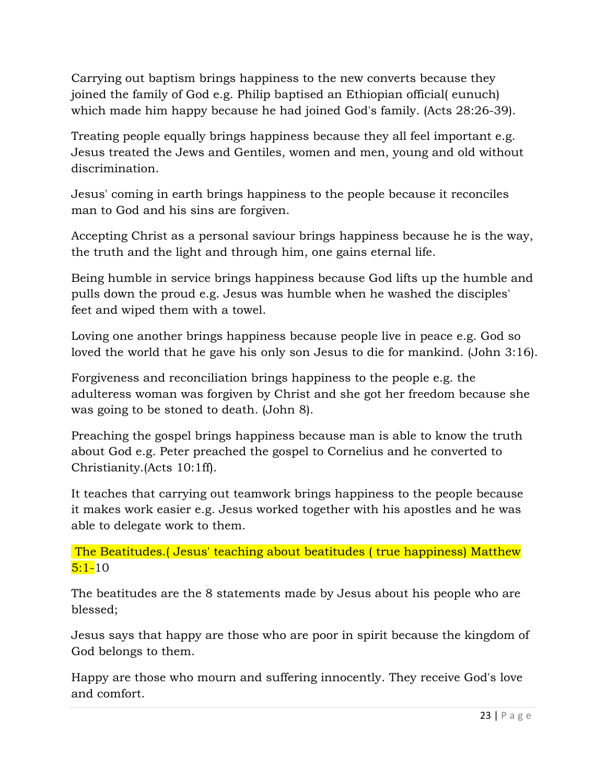Carrying out baptism brings happiness to the new converts because they joined the family of God e.g. Philip baptised an Ethiopian official( eunuch) which made him happy because he had joined God's family. (Acts 28:26-39).

Treating people equally brings happiness because they all feel important e.g. Jesus treated the Jews and Gentiles, women and men, young and old without discrimination.

Jesus' coming in earth brings happiness to the people because it reconciles man to God and his sins are forgiven.

Accepting Christ as a personal saviour brings happiness because he is the way, the truth and the light and through him, one gains eternal life.

Being humble in service brings happiness because God lifts up the humble and pulls down the proud e.g. Jesus was humble when he washed the disciples' feet and wiped them with a towel.

Loving one another brings happiness because people live in peace e.g. God so loved the world that he gave his only son Jesus to die for mankind. (John 3:16).

Forgiveness and reconciliation brings happiness to the people e.g. the adulteress woman was forgiven by Christ and she got her freedom because she was going to be stoned to death. (John 8).

Preaching the gospel brings happiness because man is able to know the truth about God e.g. Peter preached the gospel to Cornelius and he converted to Christianity.(Acts 10:1ff).

It teaches that carrying out teamwork brings happiness to the people because it makes work easier e.g. Jesus worked together with his apostles and he was able to delegate work to them.

 The Beatitudes.( Jesus' teaching about beatitudes ( true happiness) Matthew  $5:1 - 10$ 

The beatitudes are the 8 statements made by Jesus about his people who are blessed;

Jesus says that happy are those who are poor in spirit because the kingdom of God belongs to them.

Happy are those who mourn and suffering innocently. They receive God's love and comfort.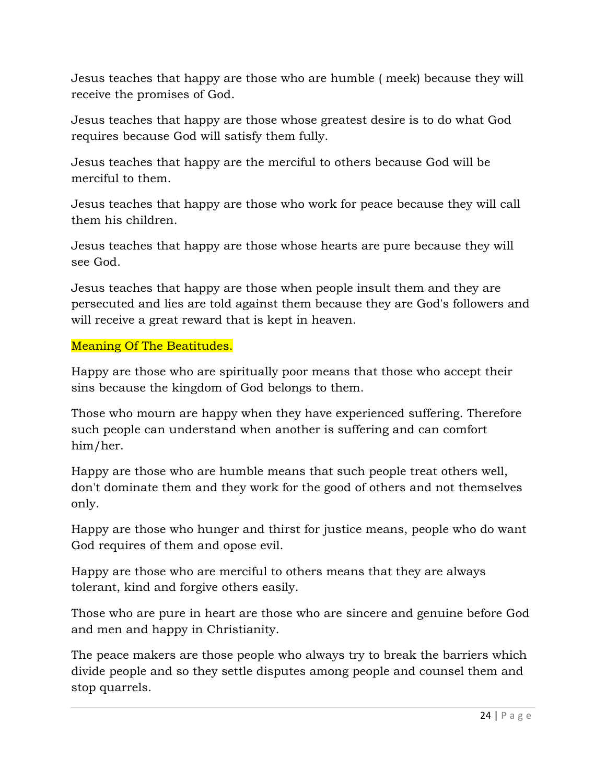Jesus teaches that happy are those who are humble ( meek) because they will receive the promises of God.

Jesus teaches that happy are those whose greatest desire is to do what God requires because God will satisfy them fully.

Jesus teaches that happy are the merciful to others because God will be merciful to them.

Jesus teaches that happy are those who work for peace because they will call them his children.

Jesus teaches that happy are those whose hearts are pure because they will see God.

Jesus teaches that happy are those when people insult them and they are persecuted and lies are told against them because they are God's followers and will receive a great reward that is kept in heaven.

### Meaning Of The Beatitudes.

Happy are those who are spiritually poor means that those who accept their sins because the kingdom of God belongs to them.

Those who mourn are happy when they have experienced suffering. Therefore such people can understand when another is suffering and can comfort him/her.

Happy are those who are humble means that such people treat others well, don't dominate them and they work for the good of others and not themselves only.

Happy are those who hunger and thirst for justice means, people who do want God requires of them and opose evil.

Happy are those who are merciful to others means that they are always tolerant, kind and forgive others easily.

Those who are pure in heart are those who are sincere and genuine before God and men and happy in Christianity.

The peace makers are those people who always try to break the barriers which divide people and so they settle disputes among people and counsel them and stop quarrels.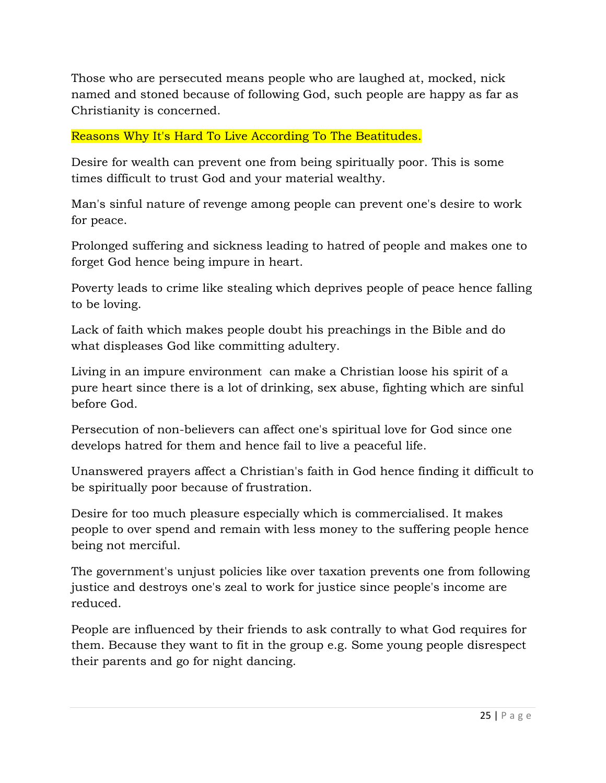Those who are persecuted means people who are laughed at, mocked, nick named and stoned because of following God, such people are happy as far as Christianity is concerned.

### Reasons Why It's Hard To Live According To The Beatitudes.

Desire for wealth can prevent one from being spiritually poor. This is some times difficult to trust God and your material wealthy.

Man's sinful nature of revenge among people can prevent one's desire to work for peace.

Prolonged suffering and sickness leading to hatred of people and makes one to forget God hence being impure in heart.

Poverty leads to crime like stealing which deprives people of peace hence falling to be loving.

Lack of faith which makes people doubt his preachings in the Bible and do what displeases God like committing adultery.

Living in an impure environment can make a Christian loose his spirit of a pure heart since there is a lot of drinking, sex abuse, fighting which are sinful before God.

Persecution of non-believers can affect one's spiritual love for God since one develops hatred for them and hence fail to live a peaceful life.

Unanswered prayers affect a Christian's faith in God hence finding it difficult to be spiritually poor because of frustration.

Desire for too much pleasure especially which is commercialised. It makes people to over spend and remain with less money to the suffering people hence being not merciful.

The government's unjust policies like over taxation prevents one from following justice and destroys one's zeal to work for justice since people's income are reduced.

People are influenced by their friends to ask contrally to what God requires for them. Because they want to fit in the group e.g. Some young people disrespect their parents and go for night dancing.